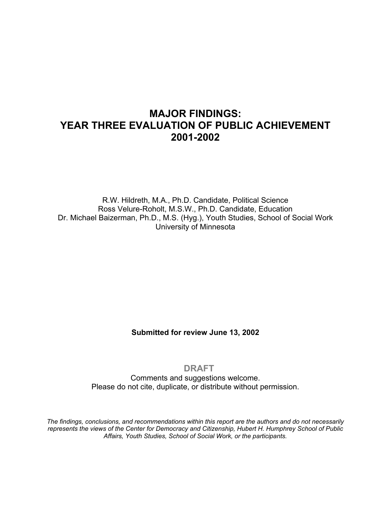# **MAJOR FINDINGS: YEAR THREE EVALUATION OF PUBLIC ACHIEVEMENT 2001-2002**

R.W. Hildreth, M.A., Ph.D. Candidate, Political Science Ross Velure-Roholt, M.S.W., Ph.D. Candidate, Education Dr. Michael Baizerman, Ph.D., M.S. (Hyg.), Youth Studies, School of Social Work University of Minnesota

**Submitted for review June 13, 2002** 

#### **DRAFT**

Comments and suggestions welcome. Please do not cite, duplicate, or distribute without permission.

*The findings, conclusions, and recommendations within this report are the authors and do not necessarily represents the views of the Center for Democracy and Citizenship, Hubert H. Humphrey School of Public Affairs, Youth Studies, School of Social Work, or the participants.*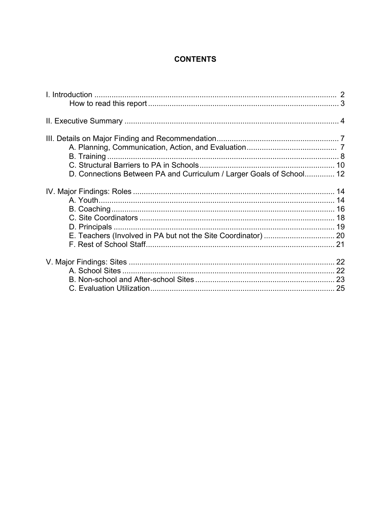# **CONTENTS**

| D. Connections Between PA and Curriculum / Larger Goals of School 12 |  |
|----------------------------------------------------------------------|--|
|                                                                      |  |
|                                                                      |  |
|                                                                      |  |
|                                                                      |  |
|                                                                      |  |
|                                                                      |  |
|                                                                      |  |
|                                                                      |  |
|                                                                      |  |
|                                                                      |  |
|                                                                      |  |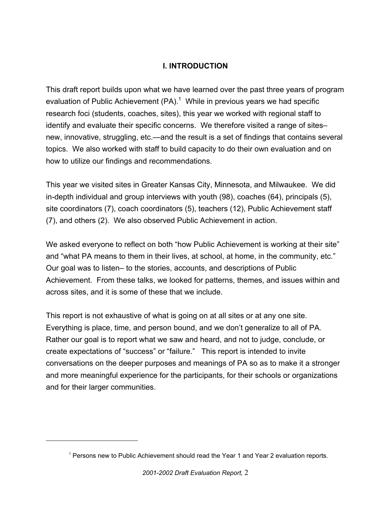# **I. INTRODUCTION**

This draft report builds upon what we have learned over the past three years of program evaluation of Public Achievement (PA).<sup>1</sup> While in previous years we had specific research foci (students, coaches, sites), this year we worked with regional staff to identify and evaluate their specific concerns. We therefore visited a range of sites– new, innovative, struggling, etc.—and the result is a set of findings that contains several topics. We also worked with staff to build capacity to do their own evaluation and on how to utilize our findings and recommendations.

This year we visited sites in Greater Kansas City, Minnesota, and Milwaukee. We did in-depth individual and group interviews with youth (98), coaches (64), principals (5), site coordinators (7), coach coordinators (5), teachers (12), Public Achievement staff (7), and others (2). We also observed Public Achievement in action.

We asked everyone to reflect on both "how Public Achievement is working at their site" and "what PA means to them in their lives, at school, at home, in the community, etc." Our goal was to listen– to the stories, accounts, and descriptions of Public Achievement. From these talks, we looked for patterns, themes, and issues within and across sites, and it is some of these that we include.

This report is not exhaustive of what is going on at all sites or at any one site. Everything is place, time, and person bound, and we don't generalize to all of PA. Rather our goal is to report what we saw and heard, and not to judge, conclude, or create expectations of "success" or "failure." This report is intended to invite conversations on the deeper purposes and meanings of PA so as to make it a stronger and more meaningful experience for the participants, for their schools or organizations and for their larger communities.

 $\overline{a}$ 

<span id="page-2-0"></span> $1$  Persons new to Public Achievement should read the Year 1 and Year 2 evaluation reports.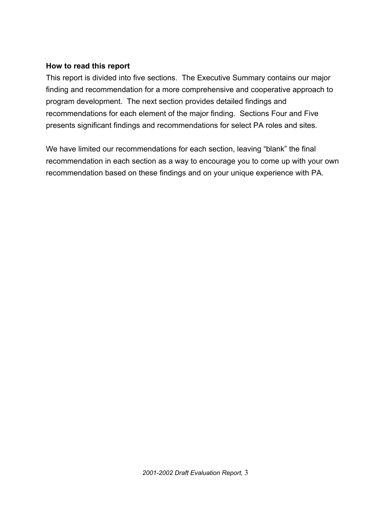#### **How to read this report**

This report is divided into five sections. The Executive Summary contains our major finding and recommendation for a more comprehensive and cooperative approach to program development. The next section provides detailed findings and recommendations for each element of the major finding. Sections Four and Five presents significant findings and recommendations for select PA roles and sites.

We have limited our recommendations for each section, leaving "blank" the final recommendation in each section as a way to encourage you to come up with your own recommendation based on these findings and on your unique experience with PA.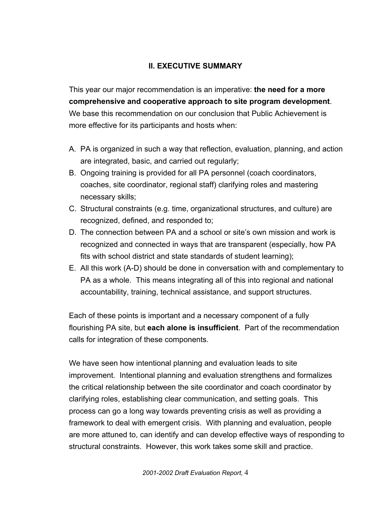# **II. EXECUTIVE SUMMARY**

This year our major recommendation is an imperative: **the need for a more comprehensive and cooperative approach to site program development**. We base this recommendation on our conclusion that Public Achievement is more effective for its participants and hosts when:

- A. PA is organized in such a way that reflection, evaluation, planning, and action are integrated, basic, and carried out regularly;
- B. Ongoing training is provided for all PA personnel (coach coordinators, coaches, site coordinator, regional staff) clarifying roles and mastering necessary skills;
- C. Structural constraints (e.g. time, organizational structures, and culture) are recognized, defined, and responded to;
- D. The connection between PA and a school or site's own mission and work is recognized and connected in ways that are transparent (especially, how PA fits with school district and state standards of student learning);
- E. All this work (A-D) should be done in conversation with and complementary to PA as a whole. This means integrating all of this into regional and national accountability, training, technical assistance, and support structures.

Each of these points is important and a necessary component of a fully flourishing PA site, but **each alone is insufficient**. Part of the recommendation calls for integration of these components.

We have seen how intentional planning and evaluation leads to site improvement. Intentional planning and evaluation strengthens and formalizes the critical relationship between the site coordinator and coach coordinator by clarifying roles, establishing clear communication, and setting goals. This process can go a long way towards preventing crisis as well as providing a framework to deal with emergent crisis. With planning and evaluation, people are more attuned to, can identify and can develop effective ways of responding to structural constraints. However, this work takes some skill and practice.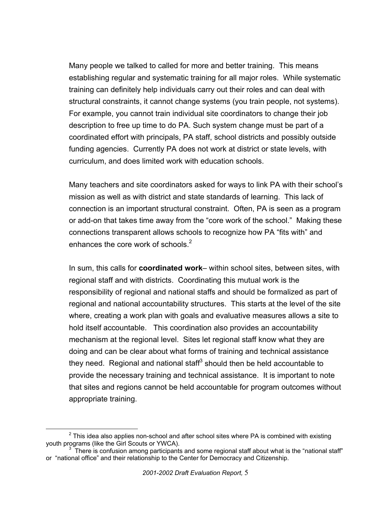Many people we talked to called for more and better training. This means establishing regular and systematic training for all major roles. While systematic training can definitely help individuals carry out their roles and can deal with structural constraints, it cannot change systems (you train people, not systems). For example, you cannot train individual site coordinators to change their job description to free up time to do PA. Such system change must be part of a coordinated effort with principals, PA staff, school districts and possibly outside funding agencies. Currently PA does not work at district or state levels, with curriculum, and does limited work with education schools.

Many teachers and site coordinators asked for ways to link PA with their school's mission as well as with district and state standards of learning. This lack of connection is an important structural constraint. Often, PA is seen as a program or add-on that takes time away from the "core work of the school." Making these connections transparent allows schools to recognize how PA "fits with" and enhances the core work of schools. $2^2$ 

In sum, this calls for **coordinated work**– within school sites, between sites, with regional staff and with districts. Coordinating this mutual work is the responsibility of regional and national staffs and should be formalized as part of regional and national accountability structures. This starts at the level of the site where, creating a work plan with goals and evaluative measures allows a site to hold itself accountable. This coordination also provides an accountability mechanism at the regional level. Sites let regional staff know what they are doing and can be clear about what forms of training and technical assistance they need. Regional and national staff $3$  should then be held accountable to provide the necessary training and technical assistance. It is important to note that sites and regions cannot be held accountable for program outcomes without appropriate training.

<span id="page-5-0"></span> $\overline{\phantom{a}}$  $2$  This idea also applies non-school and after school sites where PA is combined with existing youth programs (like the Girl Scouts or YWCA).

<span id="page-5-1"></span> $3\degree$ There is confusion among participants and some regional staff about what is the "national staff" or "national office" and their relationship to the Center for Democracy and Citizenship.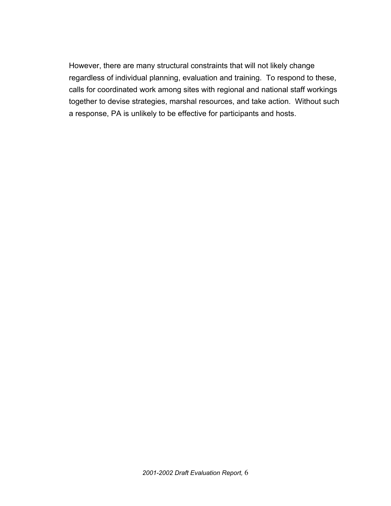However, there are many structural constraints that will not likely change regardless of individual planning, evaluation and training. To respond to these, calls for coordinated work among sites with regional and national staff workings together to devise strategies, marshal resources, and take action. Without such a response, PA is unlikely to be effective for participants and hosts.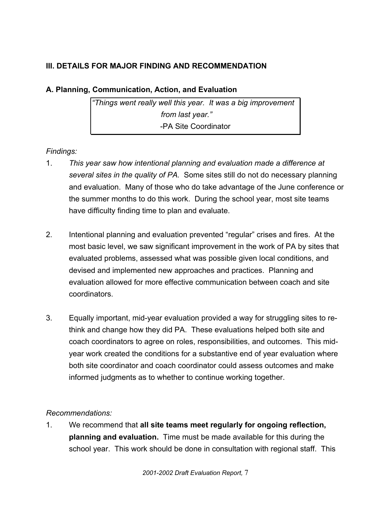# **III. DETAILS FOR MAJOR FINDING AND RECOMMENDATION**

# **A. Planning, Communication, Action, and Evaluation**

*"Things went really well this year. It was a big improvement from last year."* -PA Site Coordinator

# *Findings:*

- 1. *This year saw how intentional planning and evaluation made a difference at several sites in the quality of PA.* Some sites still do not do necessary planning and evaluation. Many of those who do take advantage of the June conference or the summer months to do this work. During the school year, most site teams have difficulty finding time to plan and evaluate.
- 2. Intentional planning and evaluation prevented "regular" crises and fires.At the most basic level, we saw significant improvement in the work of PA by sites that evaluated problems, assessed what was possible given local conditions, and devised and implemented new approaches and practices. Planning and evaluation allowed for more effective communication between coach and site coordinators.
- 3. Equally important, mid-year evaluation provided a way for struggling sites to rethink and change how they did PA. These evaluations helped both site and coach coordinators to agree on roles, responsibilities, and outcomes. This midyear work created the conditions for a substantive end of year evaluation where both site coordinator and coach coordinator could assess outcomes and make informed judgments as to whether to continue working together.

# *Recommendations:*

1. We recommend that **all site teams meet regularly for ongoing reflection, planning and evaluation.** Time must be made available for this during the school year. This work should be done in consultation with regional staff. This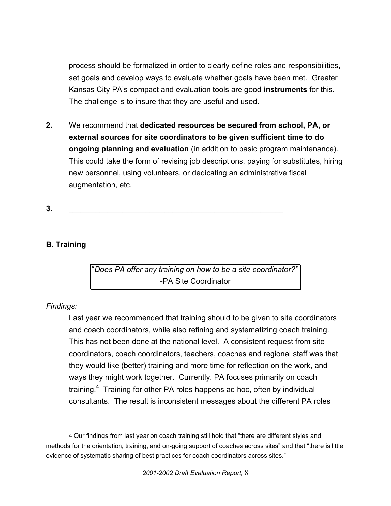process should be formalized in order to clearly define roles and responsibilities, set goals and develop ways to evaluate whether goals have been met. Greater Kansas City PA's compact and evaluation tools are good **instruments** for this. The challenge is to insure that they are useful and used.

**2.** We recommend that **dedicated resources be secured from school, PA, or external sources for site coordinators to be given sufficient time to do ongoing planning and evaluation** (in addition to basic program maintenance). This could take the form of revising job descriptions, paying for substitutes, hiring new personnel, using volunteers, or dedicating an administrative fiscal augmentation, etc.

**3.** \_\_\_\_\_\_\_\_\_\_\_\_\_\_\_\_\_\_\_\_\_\_\_\_\_\_\_\_\_\_\_\_\_\_\_\_\_\_\_\_\_\_\_\_\_\_\_\_\_\_\_\_\_\_\_\_

### **B. Training**

"*Does PA offer any training on how to be a site coordinator?"*  -PA Site Coordinator

#### *Findings:*

 $\overline{a}$ 

Last year we recommended that training should to be given to site coordinators and coach coordinators, while also refining and systematizing coach training. This has not been done at the national level. A consistent request from site coordinators, coach coordinators, teachers, coaches and regional staff was that they would like (better) training and more time for reflection on the work, and ways they might work together. Currently, PA focuses primarily on coach training.<sup>[4](#page-8-0)</sup> Training for other PA roles happens ad hoc, often by individual consultants. The result is inconsistent messages about the different PA roles

<span id="page-8-0"></span> <sup>4</sup> Our findings from last year on coach training still hold that "there are different styles and methods for the orientation, training, and on-going support of coaches across sites" and that "there is little evidence of systematic sharing of best practices for coach coordinators across sites."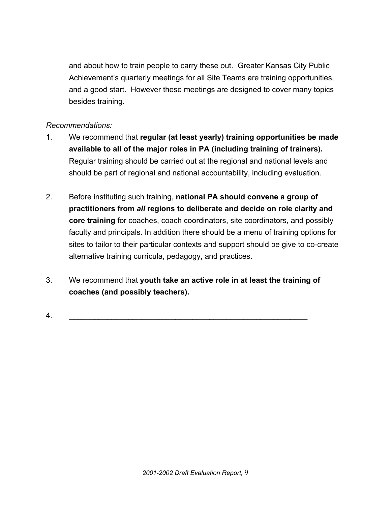and about how to train people to carry these out. Greater Kansas City Public Achievement's quarterly meetings for all Site Teams are training opportunities, and a good start. However these meetings are designed to cover many topics besides training.

- 1. We recommend that **regular (at least yearly) training opportunities be made available to all of the major roles in PA (including training of trainers).** Regular training should be carried out at the regional and national levels and should be part of regional and national accountability, including evaluation.
- 2. Before instituting such training, **national PA should convene a group of practitioners from** *all* **regions to deliberate and decide on role clarity and core training** for coaches, coach coordinators, site coordinators, and possibly faculty and principals. In addition there should be a menu of training options for sites to tailor to their particular contexts and support should be give to co-create alternative training curricula, pedagogy, and practices.
- 3. We recommend that **youth take an active role in at least the training of coaches (and possibly teachers).**
- 4. \_\_\_\_\_\_\_\_\_\_\_\_\_\_\_\_\_\_\_\_\_\_\_\_\_\_\_\_\_\_\_\_\_\_\_\_\_\_\_\_\_\_\_\_\_\_\_\_\_\_\_\_\_\_\_\_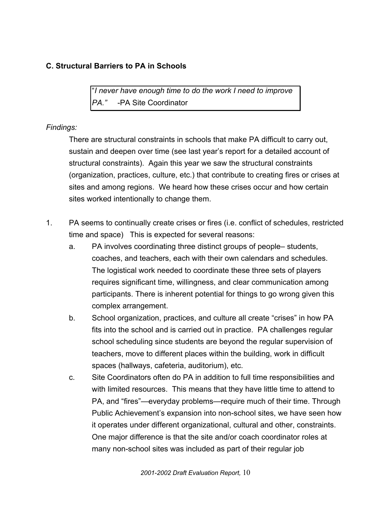# **C. Structural Barriers to PA in Schools**

"*I never have enough time to do the work I need to improve PA."* -PA Site Coordinator

#### *Findings:*

There are structural constraints in schools that make PA difficult to carry out, sustain and deepen over time (see last year's report for a detailed account of structural constraints). Again this year we saw the structural constraints (organization, practices, culture, etc.) that contribute to creating fires or crises at sites and among regions. We heard how these crises occur and how certain sites worked intentionally to change them.

- 1. PA seems to continually create crises or fires (i.e. conflict of schedules, restricted time and space) This is expected for several reasons:
	- a. PA involves coordinating three distinct groups of people– students, coaches, and teachers, each with their own calendars and schedules. The logistical work needed to coordinate these three sets of players requires significant time, willingness, and clear communication among participants. There is inherent potential for things to go wrong given this complex arrangement.
	- b. School organization, practices, and culture all create "crises" in how PA fits into the school and is carried out in practice. PA challenges regular school scheduling since students are beyond the regular supervision of teachers, move to different places within the building, work in difficult spaces (hallways, cafeteria, auditorium), etc.
	- c. Site Coordinators often do PA in addition to full time responsibilities and with limited resources. This means that they have little time to attend to PA, and "fires"—everyday problems—require much of their time. Through Public Achievement's expansion into non-school sites, we have seen how it operates under different organizational, cultural and other, constraints. One major difference is that the site and/or coach coordinator roles at many non-school sites was included as part of their regular job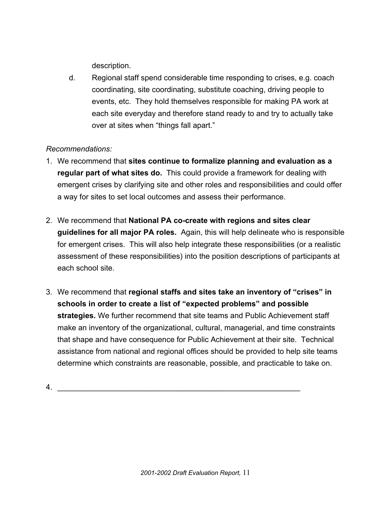description.

d. Regional staff spend considerable time responding to crises, e.g. coach coordinating, site coordinating, substitute coaching, driving people to events, etc. They hold themselves responsible for making PA work at each site everyday and therefore stand ready to and try to actually take over at sites when "things fall apart."

# *Recommendations:*

- 1. We recommend that **sites continue to formalize planning and evaluation as a regular part of what sites do.** This could provide a framework for dealing with emergent crises by clarifying site and other roles and responsibilities and could offer a way for sites to set local outcomes and assess their performance.
- 2. We recommend that **National PA co-create with regions and sites clear guidelines for all major PA roles.** Again, this will help delineate who is responsible for emergent crises. This will also help integrate these responsibilities (or a realistic assessment of these responsibilities) into the position descriptions of participants at each school site.
- 3. We recommend that **regional staffs and sites take an inventory of "crises" in schools in order to create a list of "expected problems" and possible strategies.** We further recommend that site teams and Public Achievement staff make an inventory of the organizational, cultural, managerial, and time constraints that shape and have consequence for Public Achievement at their site. Technical assistance from national and regional offices should be provided to help site teams determine which constraints are reasonable, possible, and practicable to take on.

4. \_\_\_\_\_\_\_\_\_\_\_\_\_\_\_\_\_\_\_\_\_\_\_\_\_\_\_\_\_\_\_\_\_\_\_\_\_\_\_\_\_\_\_\_\_\_\_\_\_\_\_\_\_\_\_\_\_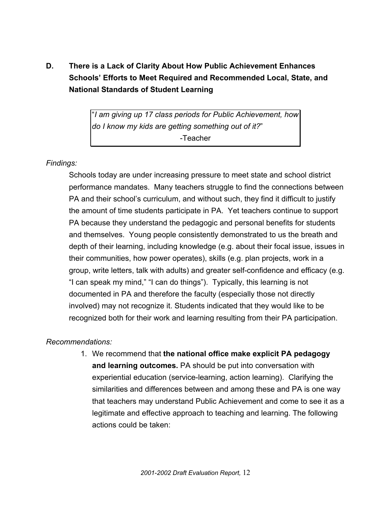**D. There is a Lack of Clarity About How Public Achievement Enhances Schools' Efforts to Meet Required and Recommended Local, State, and National Standards of Student Learning**

> "*I am giving up 17 class periods for Public Achievement, how do I know my kids are getting something out of it?*" -Teacher

#### *Findings:*

Schools today are under increasing pressure to meet state and school district performance mandates. Many teachers struggle to find the connections between PA and their school's curriculum, and without such, they find it difficult to justify the amount of time students participate in PA. Yet teachers continue to support PA because they understand the pedagogic and personal benefits for students and themselves. Young people consistently demonstrated to us the breath and depth of their learning, including knowledge (e.g. about their focal issue, issues in their communities, how power operates), skills (e.g. plan projects, work in a group, write letters, talk with adults) and greater self-confidence and efficacy (e.g. "I can speak my mind," "I can do things"). Typically, this learning is not documented in PA and therefore the faculty (especially those not directly involved) may not recognize it. Students indicated that they would like to be recognized both for their work and learning resulting from their PA participation.

#### *Recommendations:*

1. We recommend that **the national office make explicit PA pedagogy and learning outcomes.** PA should be put into conversation with experiential education (service-learning, action learning). Clarifying the similarities and differences between and among these and PA is one way that teachers may understand Public Achievement and come to see it as a legitimate and effective approach to teaching and learning. The following actions could be taken: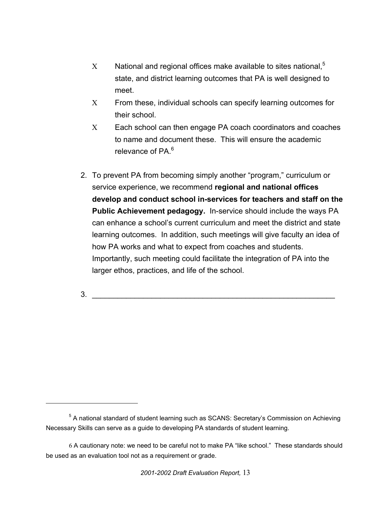- $X$  National and regional offices make available to sites national, $5$ state, and district learning outcomes that PA is well designed to meet.
- Χ From these, individual schools can specify learning outcomes for their school.
- Χ Each school can then engage PA coach coordinators and coaches to name and document these. This will ensure the academic relevance of PA.<sup>[6](#page-13-1)</sup>
- 2. To prevent PA from becoming simply another "program," curriculum or service experience, we recommend **regional and national offices develop and conduct school in-services for teachers and staff on the Public Achievement pedagogy.** In-service should include the ways PA can enhance a school's current curriculum and meet the district and state learning outcomes. In addition, such meetings will give faculty an idea of how PA works and what to expect from coaches and students. Importantly, such meeting could facilitate the integration of PA into the larger ethos, practices, and life of the school.

 $3.$ 

<u>.</u>

<span id="page-13-0"></span><sup>&</sup>lt;sup>5</sup> A national standard of student learning such as SCANS: Secretary's Commission on Achieving Necessary Skills can serve as a guide to developing PA standards of student learning.

<span id="page-13-1"></span> <sup>6</sup> A cautionary note: we need to be careful not to make PA "like school." These standards should be used as an evaluation tool not as a requirement or grade.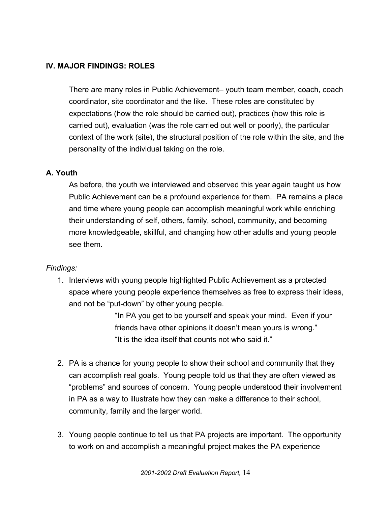### **IV. MAJOR FINDINGS: ROLES**

There are many roles in Public Achievement– youth team member, coach, coach coordinator, site coordinator and the like. These roles are constituted by expectations (how the role should be carried out), practices (how this role is carried out), evaluation (was the role carried out well or poorly), the particular context of the work (site), the structural position of the role within the site, and the personality of the individual taking on the role.

#### **A. Youth**

As before, the youth we interviewed and observed this year again taught us how Public Achievement can be a profound experience for them. PA remains a place and time where young people can accomplish meaningful work while enriching their understanding of self, others, family, school, community, and becoming more knowledgeable, skillful, and changing how other adults and young people see them.

#### *Findings:*

1. Interviews with young people highlighted Public Achievement as a protected space where young people experience themselves as free to express their ideas, and not be "put-down" by other young people.

> "In PA you get to be yourself and speak your mind. Even if your friends have other opinions it doesn't mean yours is wrong." "It is the idea itself that counts not who said it."

- 2. PA is a chance for young people to show their school and community that they can accomplish real goals. Young people told us that they are often viewed as "problems" and sources of concern. Young people understood their involvement in PA as a way to illustrate how they can make a difference to their school, community, family and the larger world.
- 3. Young people continue to tell us that PA projects are important. The opportunity to work on and accomplish a meaningful project makes the PA experience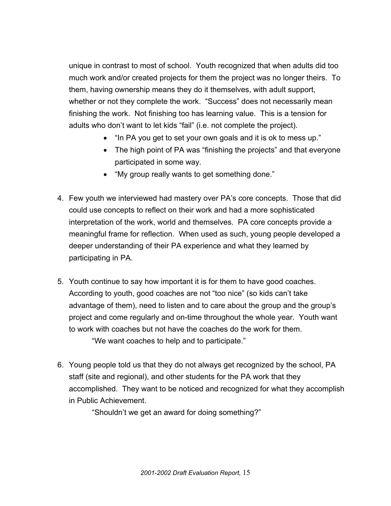unique in contrast to most of school. Youth recognized that when adults did too much work and/or created projects for them the project was no longer theirs. To them, having ownership means they do it themselves, with adult support, whether or not they complete the work. "Success" does not necessarily mean finishing the work. Not finishing too has learning value. This is a tension for adults who don't want to let kids "fail" (i.e. not complete the project).

- "In PA you get to set your own goals and it is ok to mess up."
- The high point of PA was "finishing the projects" and that everyone participated in some way.
- "My group really wants to get something done."
- 4. Few youth we interviewed had mastery over PA's core concepts. Those that did could use concepts to reflect on their work and had a more sophisticated interpretation of the work, world and themselves. PA core concepts provide a meaningful frame for reflection. When used as such, young people developed a deeper understanding of their PA experience and what they learned by participating in PA.
- 5. Youth continue to say how important it is for them to have good coaches. According to youth, good coaches are not "too nice" (so kids can't take advantage of them), need to listen and to care about the group and the group's project and come regularly and on-time throughout the whole year. Youth want to work with coaches but not have the coaches do the work for them. "We want coaches to help and to participate."
- 6. Young people told us that they do not always get recognized by the school, PA staff (site and regional), and other students for the PA work that they accomplished. They want to be noticed and recognized for what they accomplish in Public Achievement.

"Shouldn't we get an award for doing something?"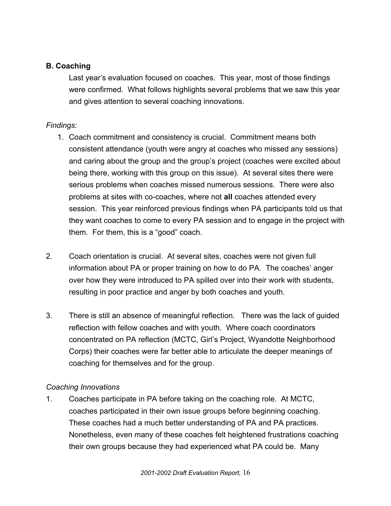### **B. Coaching**

Last year's evaluation focused on coaches. This year, most of those findings were confirmed. What follows highlights several problems that we saw this year and gives attention to several coaching innovations.

#### *Findings:*

- 1. Coach commitment and consistency is crucial. Commitment means both consistent attendance (youth were angry at coaches who missed any sessions) and caring about the group and the group's project (coaches were excited about being there, working with this group on this issue). At several sites there were serious problems when coaches missed numerous sessions. There were also problems at sites with co-coaches, where not **all** coaches attended every session. This year reinforced previous findings when PA participants told us that they want coaches to come to every PA session and to engage in the project with them. For them, this is a "good" coach.
- 2. Coach orientation is crucial. At several sites, coaches were not given full information about PA or proper training on how to do PA. The coaches' anger over how they were introduced to PA spilled over into their work with students, resulting in poor practice and anger by both coaches and youth.
- 3. There is still an absence of meaningful reflection. There was the lack of guided reflection with fellow coaches and with youth. Where coach coordinators concentrated on PA reflection (MCTC, Girl's Project, Wyandotte Neighborhood Corps) their coaches were far better able to articulate the deeper meanings of coaching for themselves and for the group.

#### *Coaching Innovations*

1. Coaches participate in PA before taking on the coaching role. At MCTC, coaches participated in their own issue groups before beginning coaching. These coaches had a much better understanding of PA and PA practices. Nonetheless, even many of these coaches felt heightened frustrations coaching their own groups because they had experienced what PA could be. Many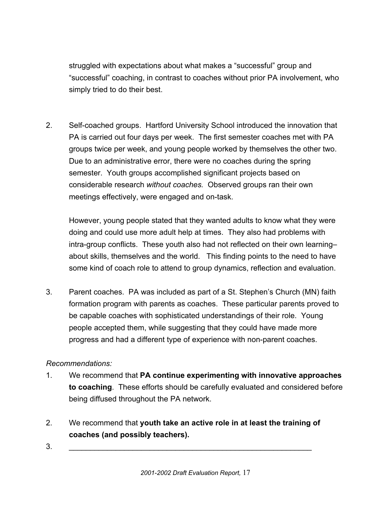struggled with expectations about what makes a "successful" group and "successful" coaching, in contrast to coaches without prior PA involvement, who simply tried to do their best.

2. Self-coached groups. Hartford University School introduced the innovation that PA is carried out four days per week. The first semester coaches met with PA groups twice per week, and young people worked by themselves the other two. Due to an administrative error, there were no coaches during the spring semester. Youth groups accomplished significant projects based on considerable research *without coaches.* Observed groups ran their own meetings effectively, were engaged and on-task.

However, young people stated that they wanted adults to know what they were doing and could use more adult help at times. They also had problems with intra-group conflicts. These youth also had not reflected on their own learning– about skills, themselves and the world. This finding points to the need to have some kind of coach role to attend to group dynamics, reflection and evaluation.

3. Parent coaches. PA was included as part of a St. Stephen's Church (MN) faith formation program with parents as coaches. These particular parents proved to be capable coaches with sophisticated understandings of their role. Young people accepted them, while suggesting that they could have made more progress and had a different type of experience with non-parent coaches.

- 1. We recommend that **PA continue experimenting with innovative approaches to coaching**. These efforts should be carefully evaluated and considered before being diffused throughout the PA network.
- 2. We recommend that **youth take an active role in at least the training of coaches (and possibly teachers).**
- 3. \_\_\_\_\_\_\_\_\_\_\_\_\_\_\_\_\_\_\_\_\_\_\_\_\_\_\_\_\_\_\_\_\_\_\_\_\_\_\_\_\_\_\_\_\_\_\_\_\_\_\_\_\_\_\_\_\_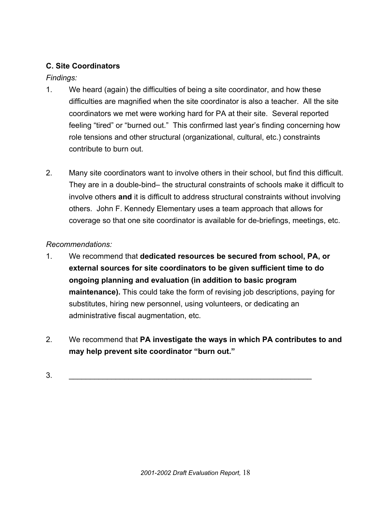# **C. Site Coordinators**

# *Findings:*

- 1. We heard (again) the difficulties of being a site coordinator, and how these difficulties are magnified when the site coordinator is also a teacher. All the site coordinators we met were working hard for PA at their site. Several reported feeling "tired" or "burned out." This confirmed last year's finding concerning how role tensions and other structural (organizational, cultural, etc.) constraints contribute to burn out.
- 2. Many site coordinators want to involve others in their school, but find this difficult. They are in a double-bind– the structural constraints of schools make it difficult to involve others **and** it is difficult to address structural constraints without involving others. John F. Kennedy Elementary uses a team approach that allows for coverage so that one site coordinator is available for de-briefings, meetings, etc.

- 1. We recommend that **dedicated resources be secured from school, PA, or external sources for site coordinators to be given sufficient time to do ongoing planning and evaluation (in addition to basic program maintenance).** This could take the form of revising job descriptions, paying for substitutes, hiring new personnel, using volunteers, or dedicating an administrative fiscal augmentation, etc.
- 2. We recommend that **PA investigate the ways in which PA contributes to and may help prevent site coordinator "burn out."**
- 3. \_\_\_\_\_\_\_\_\_\_\_\_\_\_\_\_\_\_\_\_\_\_\_\_\_\_\_\_\_\_\_\_\_\_\_\_\_\_\_\_\_\_\_\_\_\_\_\_\_\_\_\_\_\_\_\_\_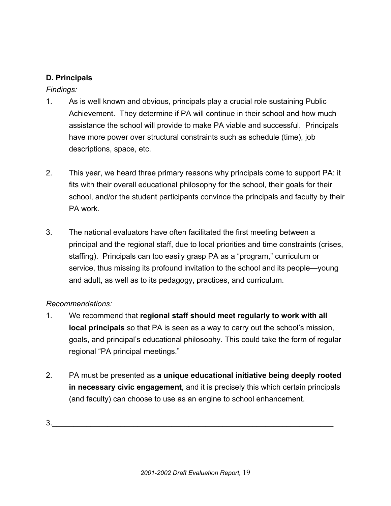### **D. Principals**

*Findings:*

- 1. As is well known and obvious, principals play a crucial role sustaining Public Achievement. They determine if PA will continue in their school and how much assistance the school will provide to make PA viable and successful. Principals have more power over structural constraints such as schedule (time), job descriptions, space, etc.
- 2. This year, we heard three primary reasons why principals come to support PA: it fits with their overall educational philosophy for the school, their goals for their school, and/or the student participants convince the principals and faculty by their PA work.
- 3. The national evaluators have often facilitated the first meeting between a principal and the regional staff, due to local priorities and time constraints (crises, staffing). Principals can too easily grasp PA as a "program," curriculum or service, thus missing its profound invitation to the school and its people—young and adult, as well as to its pedagogy, practices, and curriculum.

# *Recommendations:*

- 1. We recommend that **regional staff should meet regularly to work with all local principals** so that PA is seen as a way to carry out the school's mission, goals, and principal's educational philosophy. This could take the form of regular regional "PA principal meetings."
- 2. PA must be presented as **a unique educational initiative being deeply rooted in necessary civic engagement**, and it is precisely this which certain principals (and faculty) can choose to use as an engine to school enhancement.

 $3.$   $\overline{\phantom{a}3.}$   $\overline{\phantom{a}3.}$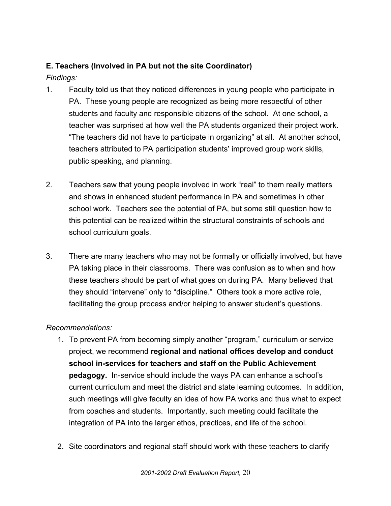# **E. Teachers (Involved in PA but not the site Coordinator)**

*Findings:*

- 1. Faculty told us that they noticed differences in young people who participate in PA. These young people are recognized as being more respectful of other students and faculty and responsible citizens of the school. At one school, a teacher was surprised at how well the PA students organized their project work. "The teachers did not have to participate in organizing" at all. At another school, teachers attributed to PA participation students' improved group work skills, public speaking, and planning.
- 2. Teachers saw that young people involved in work "real" to them really matters and shows in enhanced student performance in PA and sometimes in other school work. Teachers see the potential of PA, but some still question how to this potential can be realized within the structural constraints of schools and school curriculum goals.
- 3. There are many teachers who may not be formally or officially involved, but have PA taking place in their classrooms. There was confusion as to when and how these teachers should be part of what goes on during PA. Many believed that they should "intervene" only to "discipline." Others took a more active role, facilitating the group process and/or helping to answer student's questions.

- 1. To prevent PA from becoming simply another "program," curriculum or service project, we recommend **regional and national offices develop and conduct school in-services for teachers and staff on the Public Achievement pedagogy.** In-service should include the ways PA can enhance a school's current curriculum and meet the district and state learning outcomes. In addition, such meetings will give faculty an idea of how PA works and thus what to expect from coaches and students. Importantly, such meeting could facilitate the integration of PA into the larger ethos, practices, and life of the school.
- 2. Site coordinators and regional staff should work with these teachers to clarify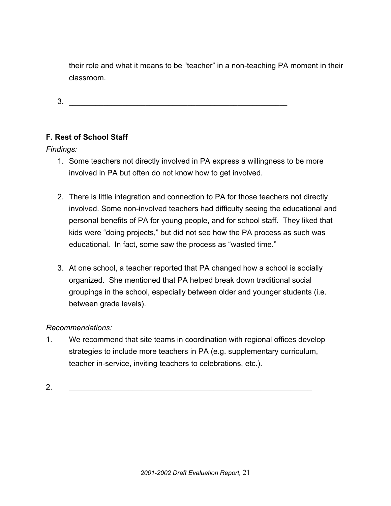their role and what it means to be "teacher" in a non-teaching PA moment in their classroom.

 $3.$ 

### **F. Rest of School Staff**

*Findings:*

- 1. Some teachers not directly involved in PA express a willingness to be more involved in PA but often do not know how to get involved.
- 2. There is little integration and connection to PA for those teachers not directly involved. Some non-involved teachers had difficulty seeing the educational and personal benefits of PA for young people, and for school staff. They liked that kids were "doing projects," but did not see how the PA process as such was educational. In fact, some saw the process as "wasted time."
- 3. At one school, a teacher reported that PA changed how a school is socially organized. She mentioned that PA helped break down traditional social groupings in the school, especially between older and younger students (i.e. between grade levels).

#### *Recommendations:*

1. We recommend that site teams in coordination with regional offices develop strategies to include more teachers in PA (e.g. supplementary curriculum, teacher in-service, inviting teachers to celebrations, etc.).

2. \_\_\_\_\_\_\_\_\_\_\_\_\_\_\_\_\_\_\_\_\_\_\_\_\_\_\_\_\_\_\_\_\_\_\_\_\_\_\_\_\_\_\_\_\_\_\_\_\_\_\_\_\_\_\_\_\_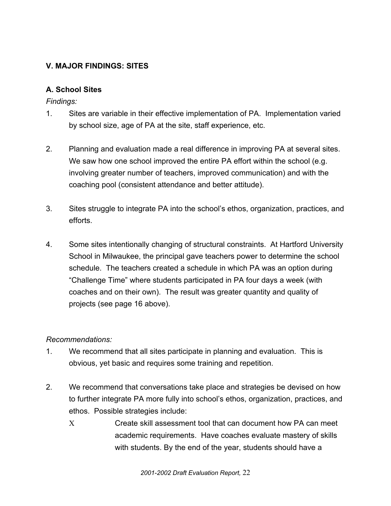# **V. MAJOR FINDINGS: SITES**

### **A. School Sites**

*Findings:*

- 1. Sites are variable in their effective implementation of PA. Implementation varied by school size, age of PA at the site, staff experience, etc.
- 2. Planning and evaluation made a real difference in improving PA at several sites. We saw how one school improved the entire PA effort within the school (e.g. involving greater number of teachers, improved communication) and with the coaching pool (consistent attendance and better attitude).
- 3. Sites struggle to integrate PA into the school's ethos, organization, practices, and efforts.
- 4. Some sites intentionally changing of structural constraints. At Hartford University School in Milwaukee, the principal gave teachers power to determine the school schedule. The teachers created a schedule in which PA was an option during "Challenge Time" where students participated in PA four days a week (with coaches and on their own). The result was greater quantity and quality of projects (see page 16 above).

- 1. We recommend that all sites participate in planning and evaluation. This is obvious, yet basic and requires some training and repetition.
- 2. We recommend that conversations take place and strategies be devised on how to further integrate PA more fully into school's ethos, organization, practices, and ethos. Possible strategies include:
	- Χ Create skill assessment tool that can document how PA can meet academic requirements. Have coaches evaluate mastery of skills with students. By the end of the year, students should have a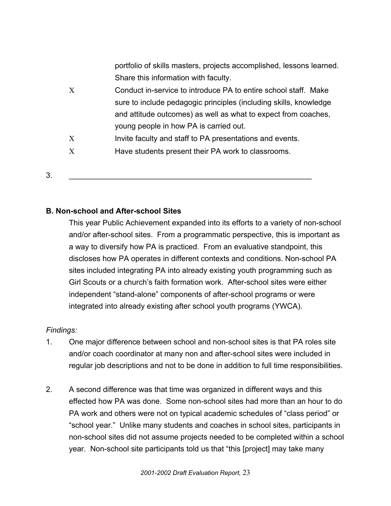portfolio of skills masters, projects accomplished, lessons learned. Share this information with faculty.

- Χ Conduct in-service to introduce PA to entire school staff. Make sure to include pedagogic principles (including skills, knowledge and attitude outcomes) as well as what to expect from coaches, young people in how PA is carried out.
- X Invite faculty and staff to PA presentations and events.
- Χ Have students present their PA work to classrooms.
- $3.$   $\Box$

### **B. Non-school and After-school Sites**

This year Public Achievement expanded into its efforts to a variety of non-school and/or after-school sites. From a programmatic perspective, this is important as a way to diversify how PA is practiced. From an evaluative standpoint, this discloses how PA operates in different contexts and conditions. Non-school PA sites included integrating PA into already existing youth programming such as Girl Scouts or a church's faith formation work. After-school sites were either independent "stand-alone" components of after-school programs or were integrated into already existing after school youth programs (YWCA).

#### *Findings:*

- 1. One major difference between school and non-school sites is that PA roles site and/or coach coordinator at many non and after-school sites were included in regular job descriptions and not to be done in addition to full time responsibilities.
- 2. A second difference was that time was organized in different ways and this effected how PA was done. Some non-school sites had more than an hour to do PA work and others were not on typical academic schedules of "class period" or "school year." Unlike many students and coaches in school sites, participants in non-school sites did not assume projects needed to be completed within a school year. Non-school site participants told us that "this [project] may take many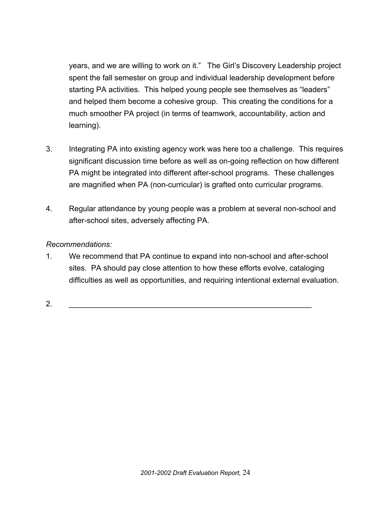years, and we are willing to work on it." The Girl's Discovery Leadership project spent the fall semester on group and individual leadership development before starting PA activities. This helped young people see themselves as "leaders" and helped them become a cohesive group. This creating the conditions for a much smoother PA project (in terms of teamwork, accountability, action and learning).

- 3. Integrating PA into existing agency work was here too a challenge. This requires significant discussion time before as well as on-going reflection on how different PA might be integrated into different after-school programs. These challenges are magnified when PA (non-curricular) is grafted onto curricular programs.
- 4. Regular attendance by young people was a problem at several non-school and after-school sites, adversely affecting PA.

#### *Recommendations:*

1. We recommend that PA continue to expand into non-school and after-school sites. PA should pay close attention to how these efforts evolve, cataloging difficulties as well as opportunities, and requiring intentional external evaluation.

2. \_\_\_\_\_\_\_\_\_\_\_\_\_\_\_\_\_\_\_\_\_\_\_\_\_\_\_\_\_\_\_\_\_\_\_\_\_\_\_\_\_\_\_\_\_\_\_\_\_\_\_\_\_\_\_\_\_